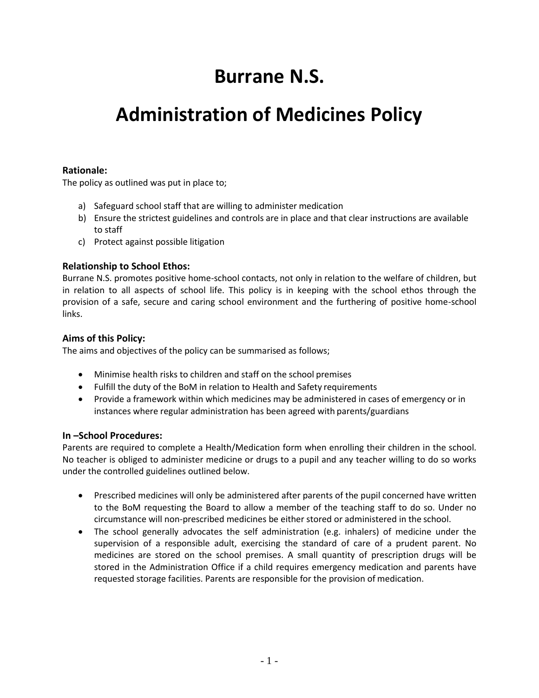# **Burrane N.S.**

## **Administration of Medicines Policy**

## **Rationale:**

The policy as outlined was put in place to;

- a) Safeguard school staff that are willing to administer medication
- b) Ensure the strictest guidelines and controls are in place and that clear instructions are available to staff
- c) Protect against possible litigation

## **Relationship to School Ethos:**

Burrane N.S. promotes positive home-school contacts, not only in relation to the welfare of children, but in relation to all aspects of school life. This policy is in keeping with the school ethos through the provision of a safe, secure and caring school environment and the furthering of positive home-school links.

## **Aims of this Policy:**

The aims and objectives of the policy can be summarised as follows;

- Minimise health risks to children and staff on the school premises
- Fulfill the duty of the BoM in relation to Health and Safety requirements
- Provide a framework within which medicines may be administered in cases of emergency or in instances where regular administration has been agreed with parents/guardians

#### **In –School Procedures:**

Parents are required to complete a Health/Medication form when enrolling their children in the school. No teacher is obliged to administer medicine or drugs to a pupil and any teacher willing to do so works under the controlled guidelines outlined below.

- Prescribed medicines will only be administered after parents of the pupil concerned have written to the BoM requesting the Board to allow a member of the teaching staff to do so. Under no circumstance will non-prescribed medicines be either stored or administered in the school.
- The school generally advocates the self administration (e.g. inhalers) of medicine under the supervision of a responsible adult, exercising the standard of care of a prudent parent. No medicines are stored on the school premises. A small quantity of prescription drugs will be stored in the Administration Office if a child requires emergency medication and parents have requested storage facilities. Parents are responsible for the provision of medication.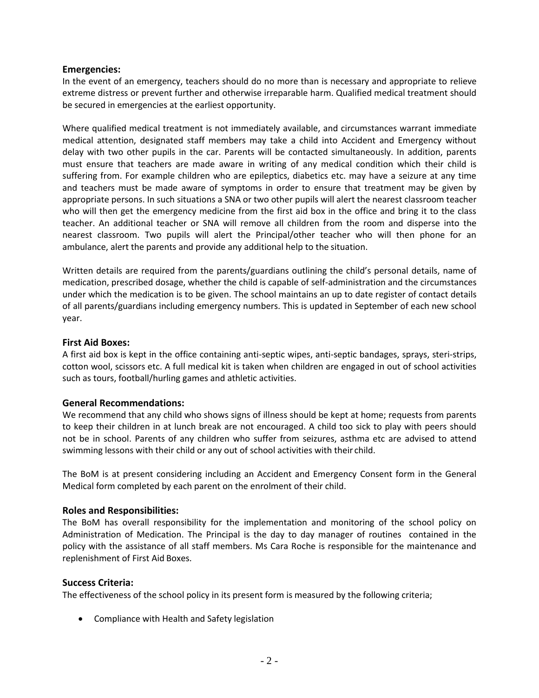#### **Emergencies:**

In the event of an emergency, teachers should do no more than is necessary and appropriate to relieve extreme distress or prevent further and otherwise irreparable harm. Qualified medical treatment should be secured in emergencies at the earliest opportunity.

Where qualified medical treatment is not immediately available, and circumstances warrant immediate medical attention, designated staff members may take a child into Accident and Emergency without delay with two other pupils in the car. Parents will be contacted simultaneously. In addition, parents must ensure that teachers are made aware in writing of any medical condition which their child is suffering from. For example children who are epileptics, diabetics etc. may have a seizure at any time and teachers must be made aware of symptoms in order to ensure that treatment may be given by appropriate persons. In such situations a SNA or two other pupils will alert the nearest classroom teacher who will then get the emergency medicine from the first aid box in the office and bring it to the class teacher. An additional teacher or SNA will remove all children from the room and disperse into the nearest classroom. Two pupils will alert the Principal/other teacher who will then phone for an ambulance, alert the parents and provide any additional help to the situation.

Written details are required from the parents/guardians outlining the child's personal details, name of medication, prescribed dosage, whether the child is capable of self-administration and the circumstances under which the medication is to be given. The school maintains an up to date register of contact details of all parents/guardians including emergency numbers. This is updated in September of each new school year.

#### **First Aid Boxes:**

A first aid box is kept in the office containing anti-septic wipes, anti-septic bandages, sprays, steri-strips, cotton wool, scissors etc. A full medical kit is taken when children are engaged in out of school activities such as tours, football/hurling games and athletic activities.

#### **General Recommendations:**

We recommend that any child who shows signs of illness should be kept at home; requests from parents to keep their children in at lunch break are not encouraged. A child too sick to play with peers should not be in school. Parents of any children who suffer from seizures, asthma etc are advised to attend swimming lessons with their child or any out of school activities with their child.

The BoM is at present considering including an Accident and Emergency Consent form in the General Medical form completed by each parent on the enrolment of their child.

#### **Roles and Responsibilities:**

The BoM has overall responsibility for the implementation and monitoring of the school policy on Administration of Medication. The Principal is the day to day manager of routines contained in the policy with the assistance of all staff members. Ms Cara Roche is responsible for the maintenance and replenishment of First Aid Boxes.

#### **Success Criteria:**

The effectiveness of the school policy in its present form is measured by the following criteria;

Compliance with Health and Safety legislation